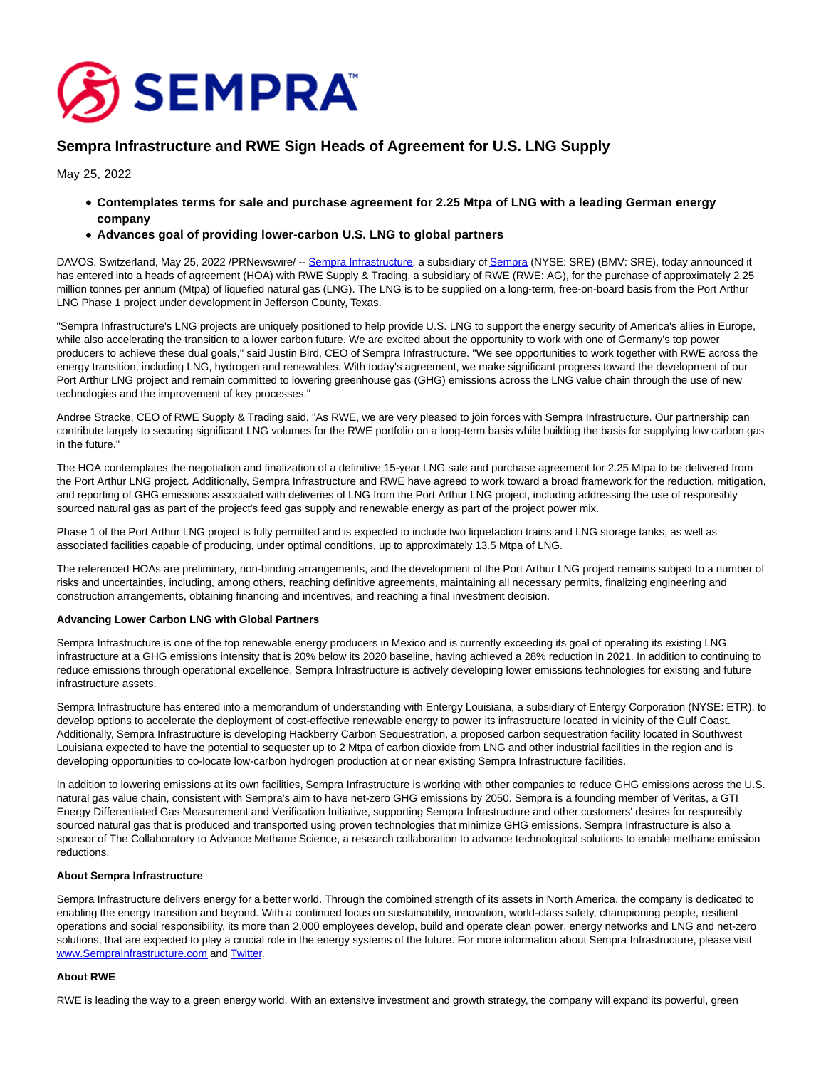

# **Sempra Infrastructure and RWE Sign Heads of Agreement for U.S. LNG Supply**

May 25, 2022

- **Contemplates terms for sale and purchase agreement for 2.25 Mtpa of LNG with a leading German energy company**
- **Advances goal of providing lower-carbon U.S. LNG to global partners**

DAVOS, Switzerland, May 25, 2022 /PRNewswire/ -- [Sempra Infrastructure,](https://c212.net/c/link/?t=0&l=en&o=3547637-1&h=2817556166&u=https%3A%2F%2Fsemprainfrastructure.com%2F&a=Sempra+Infrastructure) a subsidiary o[f Sempra \(](https://c212.net/c/link/?t=0&l=en&o=3547637-1&h=3718621864&u=http%3A%2F%2Fwww.sempra.com%2F&a=Sempra)NYSE: SRE) (BMV: SRE), today announced it has entered into a heads of agreement (HOA) with RWE Supply & Trading, a subsidiary of RWE (RWE: AG), for the purchase of approximately 2.25 million tonnes per annum (Mtpa) of liquefied natural gas (LNG). The LNG is to be supplied on a long-term, free-on-board basis from the Port Arthur LNG Phase 1 project under development in Jefferson County, Texas.

"Sempra Infrastructure's LNG projects are uniquely positioned to help provide U.S. LNG to support the energy security of America's allies in Europe, while also accelerating the transition to a lower carbon future. We are excited about the opportunity to work with one of Germany's top power producers to achieve these dual goals," said Justin Bird, CEO of Sempra Infrastructure. "We see opportunities to work together with RWE across the energy transition, including LNG, hydrogen and renewables. With today's agreement, we make significant progress toward the development of our Port Arthur LNG project and remain committed to lowering greenhouse gas (GHG) emissions across the LNG value chain through the use of new technologies and the improvement of key processes."

Andree Stracke, CEO of RWE Supply & Trading said, "As RWE, we are very pleased to join forces with Sempra Infrastructure. Our partnership can contribute largely to securing significant LNG volumes for the RWE portfolio on a long-term basis while building the basis for supplying low carbon gas in the future."

The HOA contemplates the negotiation and finalization of a definitive 15-year LNG sale and purchase agreement for 2.25 Mtpa to be delivered from the Port Arthur LNG project. Additionally, Sempra Infrastructure and RWE have agreed to work toward a broad framework for the reduction, mitigation, and reporting of GHG emissions associated with deliveries of LNG from the Port Arthur LNG project, including addressing the use of responsibly sourced natural gas as part of the project's feed gas supply and renewable energy as part of the project power mix.

Phase 1 of the Port Arthur LNG project is fully permitted and is expected to include two liquefaction trains and LNG storage tanks, as well as associated facilities capable of producing, under optimal conditions, up to approximately 13.5 Mtpa of LNG.

The referenced HOAs are preliminary, non-binding arrangements, and the development of the Port Arthur LNG project remains subject to a number of risks and uncertainties, including, among others, reaching definitive agreements, maintaining all necessary permits, finalizing engineering and construction arrangements, obtaining financing and incentives, and reaching a final investment decision.

## **Advancing Lower Carbon LNG with Global Partners**

Sempra Infrastructure is one of the top renewable energy producers in Mexico and is currently exceeding its goal of operating its existing LNG infrastructure at a GHG emissions intensity that is 20% below its 2020 baseline, having achieved a 28% reduction in 2021. In addition to continuing to reduce emissions through operational excellence, Sempra Infrastructure is actively developing lower emissions technologies for existing and future infrastructure assets.

Sempra Infrastructure has entered into a memorandum of understanding with Entergy Louisiana, a subsidiary of Entergy Corporation (NYSE: ETR), to develop options to accelerate the deployment of cost-effective renewable energy to power its infrastructure located in vicinity of the Gulf Coast. Additionally, Sempra Infrastructure is developing Hackberry Carbon Sequestration, a proposed carbon sequestration facility located in Southwest Louisiana expected to have the potential to sequester up to 2 Mtpa of carbon dioxide from LNG and other industrial facilities in the region and is developing opportunities to co-locate low-carbon hydrogen production at or near existing Sempra Infrastructure facilities.

In addition to lowering emissions at its own facilities, Sempra Infrastructure is working with other companies to reduce GHG emissions across the U.S. natural gas value chain, consistent with Sempra's aim to have net-zero GHG emissions by 2050. Sempra is a founding member of Veritas, a GTI Energy Differentiated Gas Measurement and Verification Initiative, supporting Sempra Infrastructure and other customers' desires for responsibly sourced natural gas that is produced and transported using proven technologies that minimize GHG emissions. Sempra Infrastructure is also a sponsor of The Collaboratory to Advance Methane Science, a research collaboration to advance technological solutions to enable methane emission reductions.

### **About Sempra Infrastructure**

Sempra Infrastructure delivers energy for a better world. Through the combined strength of its assets in North America, the company is dedicated to enabling the energy transition and beyond. With a continued focus on sustainability, innovation, world-class safety, championing people, resilient operations and social responsibility, its more than 2,000 employees develop, build and operate clean power, energy networks and LNG and net-zero solutions, that are expected to play a crucial role in the energy systems of the future. For more information about Sempra Infrastructure, please visit [www.SempraInfrastructure.com a](https://c212.net/c/link/?t=0&l=en&o=3547637-1&h=4189337998&u=http%3A%2F%2Fwww.semprainfrastructure.com%2F&a=www.SempraInfrastructure.com)nd [Twitter.](https://c212.net/c/link/?t=0&l=en&o=3547637-1&h=3859769220&u=https%3A%2F%2Ftwitter.com%2FSempraInfra&a=Twitter)

## **About RWE**

RWE is leading the way to a green energy world. With an extensive investment and growth strategy, the company will expand its powerful, green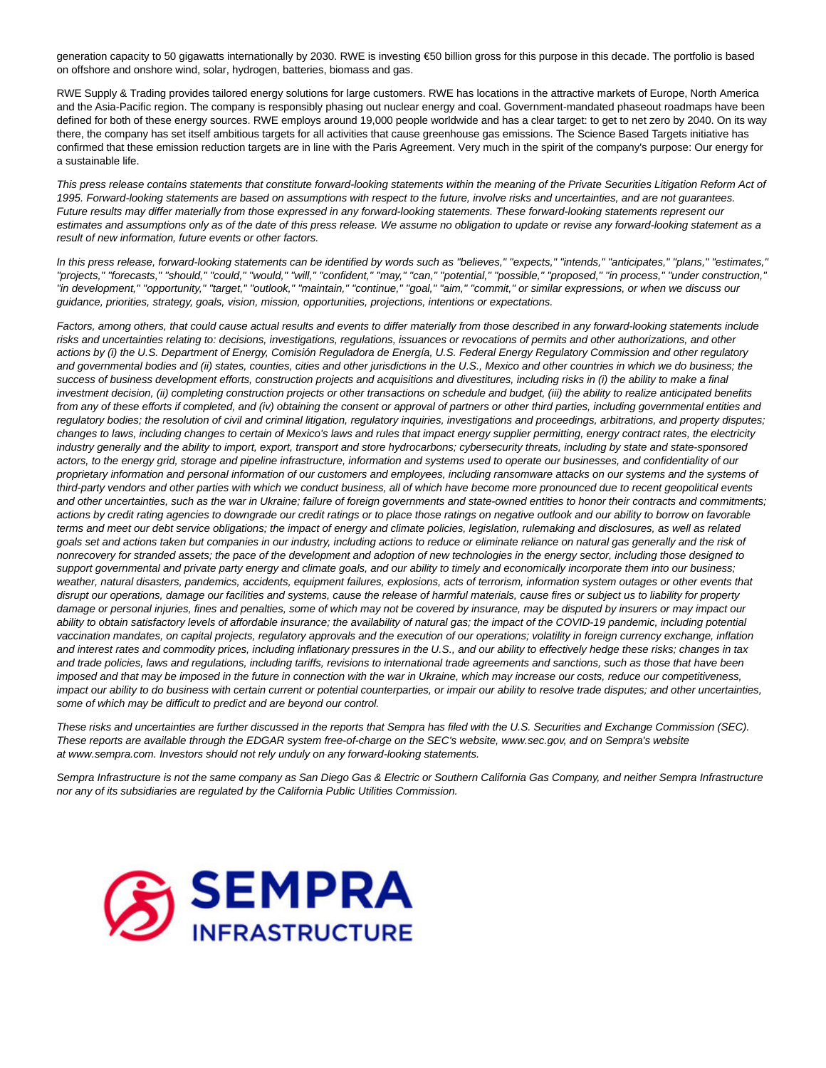generation capacity to 50 gigawatts internationally by 2030. RWE is investing €50 billion gross for this purpose in this decade. The portfolio is based on offshore and onshore wind, solar, hydrogen, batteries, biomass and gas.

RWE Supply & Trading provides tailored energy solutions for large customers. RWE has locations in the attractive markets of Europe, North America and the Asia-Pacific region. The company is responsibly phasing out nuclear energy and coal. Government-mandated phaseout roadmaps have been defined for both of these energy sources. RWE employs around 19,000 people worldwide and has a clear target: to get to net zero by 2040. On its way there, the company has set itself ambitious targets for all activities that cause greenhouse gas emissions. The Science Based Targets initiative has confirmed that these emission reduction targets are in line with the Paris Agreement. Very much in the spirit of the company's purpose: Our energy for a sustainable life.

This press release contains statements that constitute forward-looking statements within the meaning of the Private Securities Litigation Reform Act of 1995. Forward-looking statements are based on assumptions with respect to the future, involve risks and uncertainties, and are not guarantees. Future results may differ materially from those expressed in any forward-looking statements. These forward-looking statements represent our estimates and assumptions only as of the date of this press release. We assume no obligation to update or revise any forward-looking statement as a result of new information, future events or other factors.

In this press release, forward-looking statements can be identified by words such as "believes," "expects," "intends," "anticipates," "plans," "estimates," "projects," "forecasts," "should," "could," "would," "will," "confident," "may," "can," "potential," "possible," "proposed," "in process," "under construction," "in development," "opportunity," "target," "outlook," "maintain," "continue," "goal," "aim," "commit," or similar expressions, or when we discuss our guidance, priorities, strategy, goals, vision, mission, opportunities, projections, intentions or expectations.

Factors, among others, that could cause actual results and events to differ materially from those described in any forward-looking statements include risks and uncertainties relating to: decisions, investigations, regulations, issuances or revocations of permits and other authorizations, and other actions by (i) the U.S. Department of Energy, Comisión Reguladora de Energía, U.S. Federal Energy Regulatory Commission and other regulatory and governmental bodies and (ii) states, counties, cities and other jurisdictions in the U.S., Mexico and other countries in which we do business; the success of business development efforts, construction projects and acquisitions and divestitures, including risks in (i) the ability to make a final investment decision, (ii) completing construction projects or other transactions on schedule and budget, (iii) the ability to realize anticipated benefits from any of these efforts if completed, and (iv) obtaining the consent or approval of partners or other third parties, including governmental entities and regulatory bodies; the resolution of civil and criminal litigation, regulatory inquiries, investigations and proceedings, arbitrations, and property disputes; changes to laws, including changes to certain of Mexico's laws and rules that impact energy supplier permitting, energy contract rates, the electricity industry generally and the ability to import, export, transport and store hydrocarbons; cybersecurity threats, including by state and state-sponsored actors, to the energy grid, storage and pipeline infrastructure, information and systems used to operate our businesses, and confidentiality of our proprietary information and personal information of our customers and employees, including ransomware attacks on our systems and the systems of third-party vendors and other parties with which we conduct business, all of which have become more pronounced due to recent geopolitical events and other uncertainties, such as the war in Ukraine; failure of foreign governments and state-owned entities to honor their contracts and commitments; actions by credit rating agencies to downgrade our credit ratings or to place those ratings on negative outlook and our ability to borrow on favorable terms and meet our debt service obligations; the impact of energy and climate policies, legislation, rulemaking and disclosures, as well as related goals set and actions taken but companies in our industry, including actions to reduce or eliminate reliance on natural gas generally and the risk of nonrecovery for stranded assets; the pace of the development and adoption of new technologies in the energy sector, including those designed to support governmental and private party energy and climate goals, and our ability to timely and economically incorporate them into our business; weather, natural disasters, pandemics, accidents, equipment failures, explosions, acts of terrorism, information system outages or other events that disrupt our operations, damage our facilities and systems, cause the release of harmful materials, cause fires or subject us to liability for property damage or personal injuries, fines and penalties, some of which may not be covered by insurance, may be disputed by insurers or may impact our ability to obtain satisfactory levels of affordable insurance; the availability of natural gas; the impact of the COVID-19 pandemic, including potential vaccination mandates, on capital projects, regulatory approvals and the execution of our operations; volatility in foreign currency exchange, inflation and interest rates and commodity prices, including inflationary pressures in the U.S., and our ability to effectively hedge these risks; changes in tax and trade policies, laws and regulations, including tariffs, revisions to international trade agreements and sanctions, such as those that have been imposed and that may be imposed in the future in connection with the war in Ukraine, which may increase our costs, reduce our competitiveness, impact our ability to do business with certain current or potential counterparties, or impair our ability to resolve trade disputes; and other uncertainties, some of which may be difficult to predict and are beyond our control.

These risks and uncertainties are further discussed in the reports that Sempra has filed with the U.S. Securities and Exchange Commission (SEC). These reports are available through the EDGAR system free-of-charge on the SEC's website, www.sec.gov, and on Sempra's website at www.sempra.com. Investors should not rely unduly on any forward-looking statements.

Sempra Infrastructure is not the same company as San Diego Gas & Electric or Southern California Gas Company, and neither Sempra Infrastructure nor any of its subsidiaries are regulated by the California Public Utilities Commission.